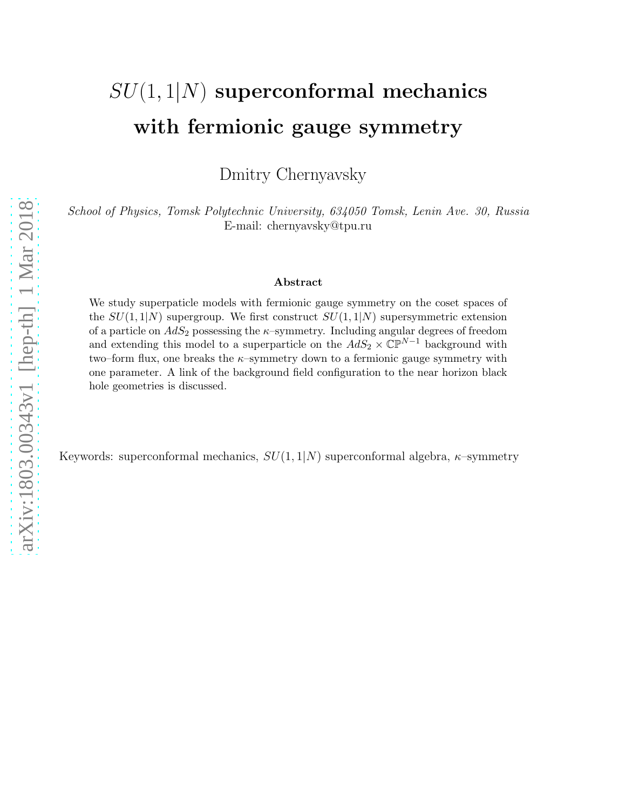# $SU(1,1|N)$  superconformal mechanics with fermionic gauge symmetry

Dmitry Chernyavsky

*School of Physics, Tomsk Polytechnic University, 634050 Tomsk, Lenin Ave. 30, Russia* E-mail: chernyavsky@tpu.ru

#### Abstract

We study superpaticle models with fermionic gauge symmetry on the coset spaces of the  $SU(1,1|N)$  supergroup. We first construct  $SU(1,1|N)$  supersymmetric extension of a particle on  $AdS_2$  possessing the  $\kappa$ -symmetry. Including angular degrees of freedom and extending this model to a superparticle on the  $AdS_2 \times \overline{\mathbb{CP}}^{N-1}$  background with two–form flux, one breaks the  $\kappa$ –symmetry down to a fermionic gauge symmetry with one parameter. A link of the background field configuration to the near horizon black hole geometries is discussed.

Keywords: superconformal mechanics,  $SU(1,1/N)$  superconformal algebra,  $\kappa$ -symmetry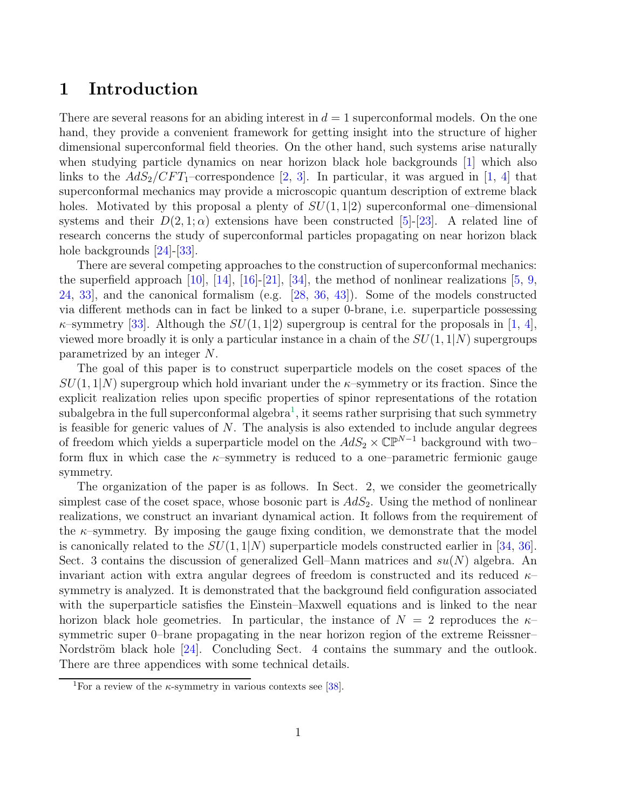## 1 Introduction

There are several reasons for an abiding interest in  $d = 1$  superconformal models. On the one hand, they provide a convenient framework for getting insight into the structure of higher dimensional superconformal field theories. On the other hand, such systems arise naturally when studying particle dynamics on near horizon black hole backgrounds [\[1\]](#page-13-0) which also links to the  $AdS_2/CFT_1$ -correspondence [2, 3]. In particular, it was argued in [\[1,](#page-13-0) [4\]](#page-14-0) that superconformal mechanics may provide a microscopic quantum description of extreme black holes. Motivated by this proposal a plenty of  $SU(1, 1|2)$  superconformal one–dimensional systems and their  $D(2,1;\alpha)$  extensions have been constructed [\[5\]](#page-14-1)-[\[23\]](#page-15-0). A related line of research concerns the study of superconformal particles propagating on near horizon black hole backgrounds  $[24]$ - $[33]$ .

There are several competing approaches to the construction of superconformal mechanics: the superfield approach [\[10\]](#page-14-2), [\[14\]](#page-14-3), [\[16\]](#page-14-4)-[\[21\]](#page-15-2), [\[34\]](#page-16-1), the method of nonlinear realizations [\[5,](#page-14-1) [9,](#page-14-5) [24,](#page-15-1) [33\]](#page-16-0), and the canonical formalism (e.g. [\[28,](#page-15-3) [36,](#page-16-2) [43\]](#page-16-3)). Some of the models constructed via different methods can in fact be linked to a super 0-brane, i.e. superparticle possessing  $\kappa$ –symmetry [\[33\]](#page-16-0). Although the  $SU(1, 1|2)$  supergroup is central for the proposals in [\[1,](#page-13-0) [4\]](#page-14-0), viewed more broadly it is only a particular instance in a chain of the  $SU(1,1|N)$  supergroups parametrized by an integer N.

The goal of this paper is to construct superparticle models on the coset spaces of the  $SU(1,1|N)$  supergroup which hold invariant under the  $\kappa$ -symmetry or its fraction. Since the explicit realization relies upon specific properties of spinor representations of the rotation subalgebra in the full superconformal algebra<sup>[1](#page-1-0)</sup>, it seems rather surprising that such symmetry is feasible for generic values of  $N$ . The analysis is also extended to include angular degrees of freedom which yields a superparticle model on the  $AdS_2 \times \mathbb{CP}^{N-1}$  background with two– form flux in which case the  $\kappa$ –symmetry is reduced to a one–parametric fermionic gauge symmetry.

The organization of the paper is as follows. In Sect. 2, we consider the geometrically simplest case of the coset space, whose bosonic part is  $AdS_2$ . Using the method of nonlinear realizations, we construct an invariant dynamical action. It follows from the requirement of the  $\kappa$ -symmetry. By imposing the gauge fixing condition, we demonstrate that the model is canonically related to the  $SU(1,1/N)$  superparticle models constructed earlier in [\[34,](#page-16-1) [36\]](#page-16-2). Sect. 3 contains the discussion of generalized Gell–Mann matrices and  $su(N)$  algebra. An invariant action with extra angular degrees of freedom is constructed and its reduced  $\kappa$ symmetry is analyzed. It is demonstrated that the background field configuration associated with the superparticle satisfies the Einstein–Maxwell equations and is linked to the near horizon black hole geometries. In particular, the instance of  $N = 2$  reproduces the  $\kappa$ symmetric super 0–brane propagating in the near horizon region of the extreme Reissner– Nordström black hole  $[24]$ . Concluding Sect. 4 contains the summary and the outlook. There are three appendices with some technical details.

<span id="page-1-0"></span><sup>&</sup>lt;sup>1</sup>For a review of the  $\kappa$ -symmetry in various contexts see [\[38\]](#page-16-4).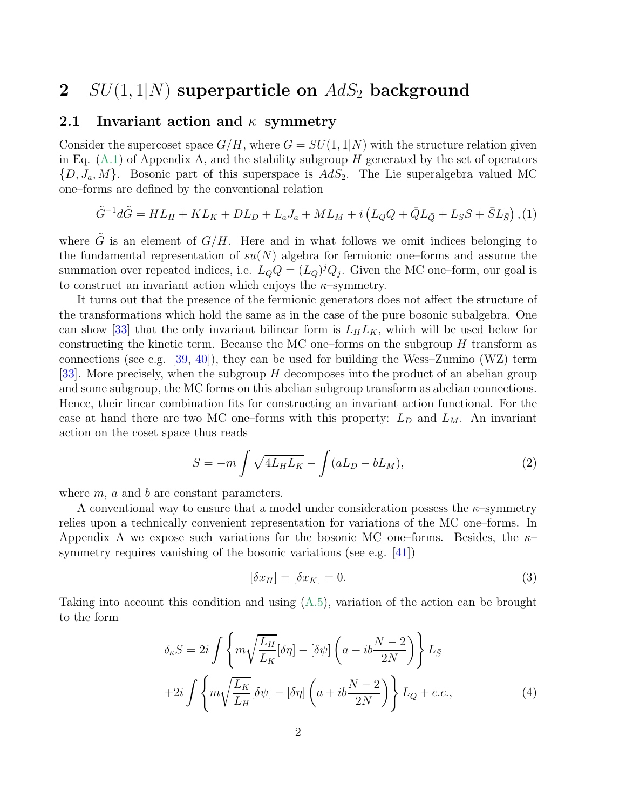### 2  $SU(1,1|N)$  superparticle on  $AdS<sub>2</sub>$  background

#### 2.1 Invariant action and  $\kappa$ -symmetry

Consider the supercoset space  $G/H$ , where  $G = SU(1, 1|N)$  with the structure relation given in Eq.  $(A.1)$  of Appendix A, and the stability subgroup H generated by the set of operators  $\{D, J_a, M\}$ . Bosonic part of this superspace is  $AdS_2$ . The Lie superalgebra valued MC one–forms are defined by the conventional relation

$$
\tilde{G}^{-1}d\tilde{G} = HL_H + KL_K + DL_D + L_aJ_a + ML_M + i(L_QQ + \bar{Q}L_{\bar{Q}} + L_SS + \bar{S}L_{\bar{S}}),
$$
(1)

where G is an element of  $G/H$ . Here and in what follows we omit indices belonging to the fundamental representation of  $su(N)$  algebra for fermionic one–forms and assume the summation over repeated indices, i.e.  $L_{Q}Q = (L_{Q})^{j}Q_{j}$ . Given the MC one-form, our goal is to construct an invariant action which enjoys the  $\kappa$ -symmetry.

It turns out that the presence of the fermionic generators does not affect the structure of the transformations which hold the same as in the case of the pure bosonic subalgebra. One can show [\[33\]](#page-16-0) that the only invariant bilinear form is  $L_H L_K$ , which will be used below for constructing the kinetic term. Because the MC one–forms on the subgroup  $H$  transform as connections (see e.g. [\[39,](#page-16-5) [40\]](#page-16-6)), they can be used for building the Wess–Zumino (WZ) term [\[33\]](#page-16-0). More precisely, when the subgroup  $H$  decomposes into the product of an abelian group and some subgroup, the MC forms on this abelian subgroup transform as abelian connections. Hence, their linear combination fits for constructing an invariant action functional. For the case at hand there are two MC one–forms with this property:  $L_D$  and  $L_M$ . An invariant action on the coset space thus reads

<span id="page-2-1"></span>
$$
S = -m \int \sqrt{4L_H L_K} - \int (aL_D - bL_M), \tag{2}
$$

where  $m$ ,  $a$  and  $b$  are constant parameters.

A conventional way to ensure that a model under consideration possess the  $\kappa$ -symmetry relies upon a technically convenient representation for variations of the MC one–forms. In Appendix A we expose such variations for the bosonic MC one–forms. Besides, the  $\kappa$ – symmetry requires vanishing of the bosonic variations (see e.g. [\[41\]](#page-16-7))

$$
[\delta x_H] = [\delta x_K] = 0. \tag{3}
$$

Taking into account this condition and using [\(A.5\)](#page-12-0), variation of the action can be brought to the form

<span id="page-2-0"></span>
$$
\delta_{\kappa}S = 2i \int \left\{ m \sqrt{\frac{L_H}{L_K}} [\delta \eta] - [\delta \psi] \left( a - ib \frac{N - 2}{2N} \right) \right\} L_{\bar{S}}
$$

$$
+ 2i \int \left\{ m \sqrt{\frac{L_K}{L_H}} [\delta \psi] - [\delta \eta] \left( a + ib \frac{N - 2}{2N} \right) \right\} L_{\bar{Q}} + c.c.,
$$

$$
\tag{4}
$$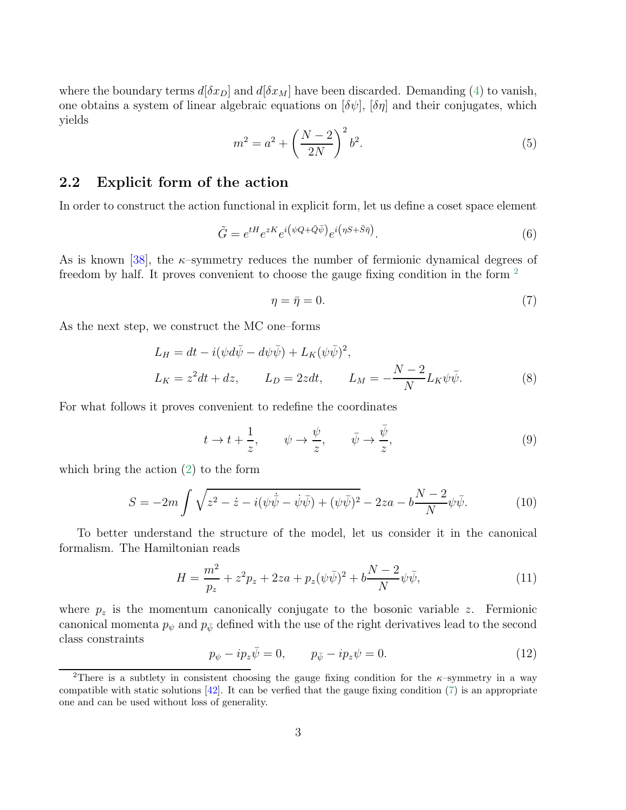where the boundary terms  $d[\delta x_D]$  and  $d[\delta x_M]$  have been discarded. Demanding [\(4\)](#page-2-0) to vanish, one obtains a system of linear algebraic equations on  $[\delta\psi]$ ,  $[\delta\eta]$  and their conjugates, which yields

$$
m^2 = a^2 + \left(\frac{N-2}{2N}\right)^2 b^2.
$$
 (5)

#### 2.2 Explicit form of the action

In order to construct the action functional in explicit form, let us define a coset space element

$$
\tilde{G} = e^{tH} e^{zK} e^{i(\psi Q + \bar{Q}\bar{\psi})} e^{i(\eta S + \bar{S}\bar{\eta})}.
$$
\n(6)

As is known [\[38\]](#page-16-4), the  $\kappa$ -symmetry reduces the number of fermionic dynamical degrees of freedom by half. It proves convenient to choose the gauge fixing condition in the form <sup>[2](#page-3-0)</sup>

<span id="page-3-1"></span>
$$
\eta = \bar{\eta} = 0. \tag{7}
$$

As the next step, we construct the MC one–forms

$$
L_H = dt - i(\psi d\bar{\psi} - d\psi \bar{\psi}) + L_K(\psi \bar{\psi})^2,
$$
  
\n
$$
L_K = z^2 dt + dz, \qquad L_D = 2z dt, \qquad L_M = -\frac{N-2}{N} L_K \psi \bar{\psi}.
$$
 (8)

For what follows it proves convenient to redefine the coordinates

<span id="page-3-2"></span>
$$
t \to t + \frac{1}{z}, \qquad \psi \to \frac{\psi}{z}, \qquad \bar{\psi} \to \frac{\bar{\psi}}{z}, \tag{9}
$$

which bring the action [\(2\)](#page-2-1) to the form

$$
S = -2m \int \sqrt{z^2 - \dot{z} - i(\psi \dot{\bar{\psi}} - \dot{\psi} \bar{\psi}) + (\psi \bar{\psi})^2} - 2za - b \frac{N - 2}{N} \psi \bar{\psi}.
$$
 (10)

To better understand the structure of the model, let us consider it in the canonical formalism. The Hamiltonian reads

$$
H = \frac{m^2}{p_z} + z^2 p_z + 2za + p_z(\psi \bar{\psi})^2 + b \frac{N-2}{N} \psi \bar{\psi}, \tag{11}
$$

where  $p<sub>z</sub>$  is the momentum canonically conjugate to the bosonic variable z. Fermionic canonical momenta  $p_{\psi}$  and  $p_{\bar{\psi}}$  defined with the use of the right derivatives lead to the second class constraints

$$
p_{\psi} - ip_z \bar{\psi} = 0, \qquad p_{\bar{\psi}} - ip_z \psi = 0.
$$
 (12)

<span id="page-3-0"></span><sup>&</sup>lt;sup>2</sup>There is a subtlety in consistent choosing the gauge fixing condition for the  $\kappa$ -symmetry in a way compatible with static solutions  $[42]$ . It can be verfied that the gauge fixing condition [\(7\)](#page-3-1) is an appropriate one and can be used without loss of generality.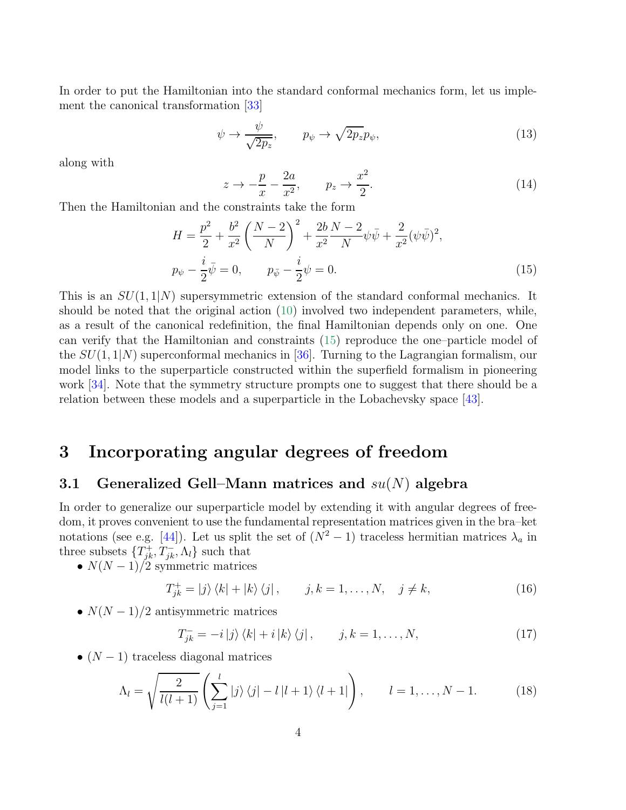In order to put the Hamiltonian into the standard conformal mechanics form, let us implement the canonical transformation [\[33\]](#page-16-0)

$$
\psi \to \frac{\psi}{\sqrt{2p_z}}, \qquad p_{\psi} \to \sqrt{2p_z}p_{\psi}, \tag{13}
$$

along with

$$
z \to -\frac{p}{x} - \frac{2a}{x^2}, \qquad p_z \to \frac{x^2}{2}.
$$
 (14)

Then the Hamiltonian and the constraints take the form

<span id="page-4-0"></span>
$$
H = \frac{p^2}{2} + \frac{b^2}{x^2} \left(\frac{N-2}{N}\right)^2 + \frac{2b}{x^2} \frac{N-2}{N} \psi \bar{\psi} + \frac{2}{x^2} (\psi \bar{\psi})^2,
$$
  
\n
$$
p_{\psi} - \frac{i}{2} \bar{\psi} = 0, \qquad p_{\bar{\psi}} - \frac{i}{2} \psi = 0.
$$
 (15)

This is an  $SU(1,1/N)$  supersymmetric extension of the standard conformal mechanics. It should be noted that the original action [\(10\)](#page-3-2) involved two independent parameters, while, as a result of the canonical redefinition, the final Hamiltonian depends only on one. One can verify that the Hamiltonian and constraints [\(15\)](#page-4-0) reproduce the one–particle model of the  $SU(1, 1/N)$  superconformal mechanics in [\[36\]](#page-16-2). Turning to the Lagrangian formalism, our model links to the superparticle constructed within the superfield formalism in pioneering work [\[34\]](#page-16-1). Note that the symmetry structure prompts one to suggest that there should be a relation between these models and a superparticle in the Lobachevsky space [\[43\]](#page-16-3).

### 3 Incorporating angular degrees of freedom

#### 3.1 Generalized Gell–Mann matrices and  $su(N)$  algebra

In order to generalize our superparticle model by extending it with angular degrees of freedom, it proves convenient to use the fundamental representation matrices given in the bra–ket notations (see e.g. [\[44\]](#page-16-9)). Let us split the set of  $(N^2 - 1)$  traceless hermitian matrices  $\lambda_a$  in three subsets  $\{T^+_{jk}, T^-_{jk}, \Lambda_l\}$  such that

•  $N(N-1)/2$  symmetric matrices

<span id="page-4-2"></span>
$$
T_{jk}^{+} = |j\rangle\langle k| + |k\rangle\langle j|, \qquad j, k = 1, \dots, N, \quad j \neq k,
$$
\n(16)

•  $N(N-1)/2$  antisymmetric matrices

<span id="page-4-1"></span>
$$
T_{jk}^- = -i |j\rangle \langle k| + i |k\rangle \langle j|, \qquad j, k = 1, \dots, N,
$$
\n(17)

•  $(N-1)$  traceless diagonal matrices

$$
\Lambda_l = \sqrt{\frac{2}{l(l+1)}} \left( \sum_{j=1}^l |j\rangle\langle j| - l|l+1\rangle\langle l+1| \right), \qquad l = 1, \dots, N-1. \tag{18}
$$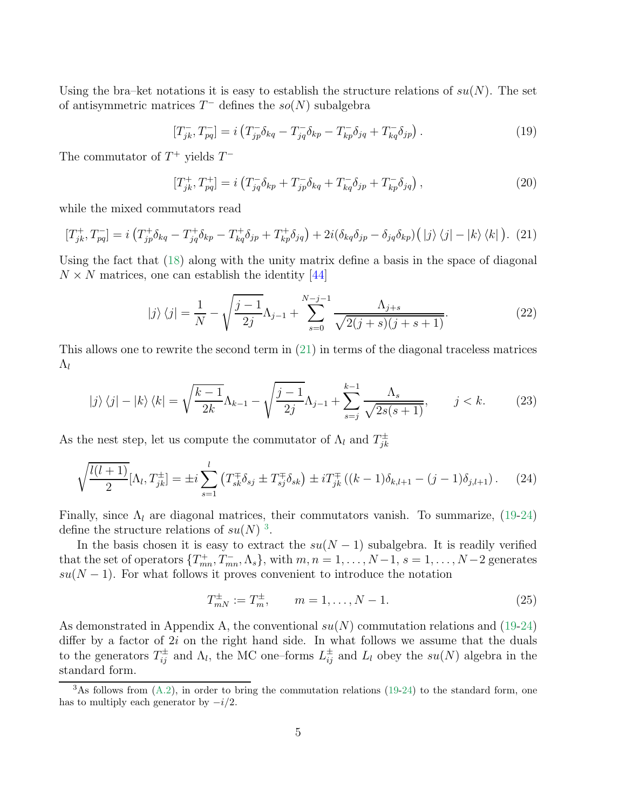Using the bra–ket notations it is easy to establish the structure relations of  $su(N)$ . The set of antisymmetric matrices  $T^-$  defines the  $so(N)$  subalgebra

<span id="page-5-1"></span>
$$
[T_{jk}^-, T_{pq}^-] = i \left( T_{jp}^- \delta_{kq} - T_{jq}^- \delta_{kp} - T_{kp}^- \delta_{jq} + T_{kq}^- \delta_{jp} \right). \tag{19}
$$

The commutator of  $T^+$  yields  $T^-$ 

<span id="page-5-0"></span>
$$
[T_{jk}^+, T_{pq}^+] = i \left( T_{jq}^- \delta_{kp} + T_{jp}^- \delta_{kq} + T_{kq}^- \delta_{jp} + T_{kp}^- \delta_{jq} \right), \qquad (20)
$$

while the mixed commutators read

$$
[T_{jk}^{+}, T_{pq}^{-}] = i \left( T_{jp}^{+} \delta_{kq} - T_{jq}^{+} \delta_{kp} - T_{kq}^{+} \delta_{jp} + T_{kp}^{+} \delta_{jq} \right) + 2i (\delta_{kq} \delta_{jp} - \delta_{jq} \delta_{kp}) \left( |j\rangle \left\langle j| - |k\rangle \left\langle k| \right. \right) \right). (21)
$$

Using the fact that [\(18\)](#page-4-1) along with the unity matrix define a basis in the space of diagonal  $N \times N$  matrices, one can establish the identity [\[44\]](#page-16-9)

$$
|j\rangle\langle j| = \frac{1}{N} - \sqrt{\frac{j-1}{2j}}\Lambda_{j-1} + \sum_{s=0}^{N-j-1} \frac{\Lambda_{j+s}}{\sqrt{2(j+s)(j+s+1)}}.
$$
 (22)

This allows one to rewrite the second term in [\(21\)](#page-5-0) in terms of the diagonal traceless matrices  $\Lambda_l$ 

$$
|j\rangle\langle j| - |k\rangle\langle k| = \sqrt{\frac{k-1}{2k}}\Lambda_{k-1} - \sqrt{\frac{j-1}{2j}}\Lambda_{j-1} + \sum_{s=j}^{k-1} \frac{\Lambda_s}{\sqrt{2s(s+1)}}, \qquad j < k. \tag{23}
$$

As the nest step, let us compute the commutator of  $\Lambda_l$  and  $T^{\pm}_{ik}$ jk

$$
\sqrt{\frac{l(l+1)}{2}}[\Lambda_l, T_{jk}^{\pm}] = \pm i \sum_{s=1}^l \left( T_{sk}^{\mp} \delta_{sj} \pm T_{sj}^{\mp} \delta_{sk} \right) \pm i T_{jk}^{\mp} \left( (k-1) \delta_{k,l+1} - (j-1) \delta_{j,l+1} \right). \tag{24}
$$

Finally, since  $\Lambda_l$  are diagonal matrices, their commutators vanish. To summarize, [\(19](#page-5-1)[-24\)](#page-5-2) define the structure relations of  $su(N)^3$  $su(N)^3$ .

In the basis chosen it is easy to extract the  $su(N-1)$  subalgebra. It is readily verified that the set of operators  $\{T^+_{mn}, T^-_{mn}, \Lambda_s\}$ , with  $m, n = 1, \ldots, N-1, s = 1, \ldots, N-2$  generates  $su(N-1)$ . For what follows it proves convenient to introduce the notation

<span id="page-5-4"></span><span id="page-5-2"></span>
$$
T_{mN}^{\pm} := T_m^{\pm}, \qquad m = 1, \dots, N - 1.
$$
 (25)

As demonstrated in Appendix A, the conventional  $su(N)$  commutation relations and [\(19](#page-5-1)[-24\)](#page-5-2) differ by a factor of  $2i$  on the right hand side. In what follows we assume that the duals to the generators  $T_{ij}^{\pm}$  and  $\Lambda_l$ , the MC one-forms  $L_{ij}^{\pm}$  and  $L_l$  obey the  $su(N)$  algebra in the standard form.

<span id="page-5-3"></span> $3$ As follows from  $(A.2)$ , in order to bring the commutation relations  $(19-24)$  $(19-24)$  to the standard form, one has to multiply each generator by  $-i/2$ .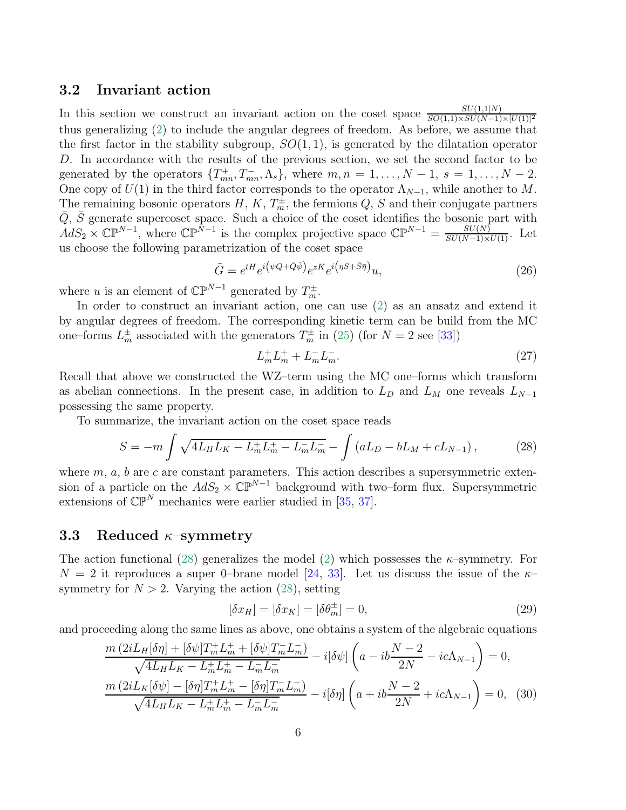#### 3.2 Invariant action

In this section we construct an invariant action on the coset space  $\frac{SU(1,1|N)}{SO(1,1)\times SU(N-1)\times [U(1)]^2}$ thus generalizing [\(2\)](#page-2-1) to include the angular degrees of freedom. As before, we assume that the first factor in the stability subgroup,  $SO(1,1)$ , is generated by the dilatation operator D. In accordance with the results of the previous section, we set the second factor to be generated by the operators  $\{T^+_{mn}, T^-_{mn}, \Lambda_s\}$ , where  $m, n = 1, \ldots, N-1, s = 1, \ldots, N-2$ . One copy of  $U(1)$  in the third factor corresponds to the operator  $\Lambda_{N-1}$ , while another to M. The remaining bosonic operators  $H, K, T_m^{\pm}$ , the fermions  $Q, S$  and their conjugate partners  $\overline{Q}$ ,  $\overline{S}$  generate supercoset space. Such a choice of the coset identifies the bosonic part with  $AdS_2 \times \mathbb{CP}^{N-1}$ , where  $\mathbb{CP}^{N-1}$  is the complex projective space  $\mathbb{CP}^{N-1} = \frac{SU(N)}{SU(N-1)\times U(1)}$ . Let us choose the following parametrization of the coset space

<span id="page-6-2"></span>
$$
\tilde{G} = e^{tH} e^{i(\psi Q + \bar{Q}\bar{\psi})} e^{zK} e^{i(\eta S + \bar{S}\bar{\eta})} u,
$$
\n(26)

where u is an element of  $\mathbb{CP}^{N-1}$  generated by  $T_m^{\pm}$ .

In order to construct an invariant action, one can use [\(2\)](#page-2-1) as an ansatz and extend it by angular degrees of freedom. The corresponding kinetic term can be build from the MC one–forms  $L_m^{\pm}$  associated with the generators  $T_m^{\pm}$  in [\(25\)](#page-5-4) (for  $N = 2$  see [\[33\]](#page-16-0))

<span id="page-6-3"></span><span id="page-6-0"></span>
$$
L_m^+ L_m^+ + L_m^- L_m^-.
$$
\n(27)

Recall that above we constructed the WZ–term using the MC one–forms which transform as abelian connections. In the present case, in addition to  $L_D$  and  $L_M$  one reveals  $L_{N-1}$ possessing the same property.

To summarize, the invariant action on the coset space reads

$$
S = -m \int \sqrt{4L_H L_K - L_m^+ L_m^+ - L_m^- L_m^-} - \int (aL_D - bL_M + cL_{N-1}), \tag{28}
$$

where  $m, a, b$  are c are constant parameters. This action describes a supersymmetric extension of a particle on the  $AdS_2 \times \mathbb{CP}^{N-1}$  background with two–form flux. Supersymmetric extensions of  $\mathbb{CP}^N$  mechanics were earlier studied in [\[35,](#page-16-10) [37\]](#page-16-11).

#### 3.3 Reduced  $\kappa$ -symmetry

The action functional [\(28\)](#page-6-0) generalizes the model [\(2\)](#page-2-1) which possesses the  $\kappa$ -symmetry. For  $N = 2$  it reproduces a super 0-brane model [\[24,](#page-15-1) [33\]](#page-16-0). Let us discuss the issue of the  $\kappa$ symmetry for  $N > 2$ . Varying the action [\(28\)](#page-6-0), setting

$$
[\delta x_H] = [\delta x_K] = [\delta \theta_m^{\pm}] = 0,\tag{29}
$$

and proceeding along the same lines as above, one obtains a system of the algebraic equations

<span id="page-6-1"></span>
$$
\frac{m\left(2iL_{H}[\delta\eta] + [\delta\psi]T_{m}^{+}L_{m}^{+} + [\delta\psi]T_{m}^{-}L_{m}^{-}\right)}{\sqrt{4L_{H}L_{K} - L_{m}^{+}L_{m}^{+} - L_{m}^{-}L_{m}^{-}}} - i[\delta\psi]\left(a - ib\frac{N-2}{2N} - ic\Lambda_{N-1}\right) = 0,
$$
\n
$$
\frac{m\left(2iL_{K}[\delta\psi] - [\delta\eta]T_{m}^{+}L_{m}^{+} - [\delta\eta]T_{m}^{-}L_{m}^{-}\right)}{\sqrt{4L_{H}L_{K} - L_{m}^{+}L_{m}^{+} - L_{m}^{-}L_{m}^{-}}} - i[\delta\eta]\left(a + ib\frac{N-2}{2N} + ic\Lambda_{N-1}\right) = 0, \quad (30)
$$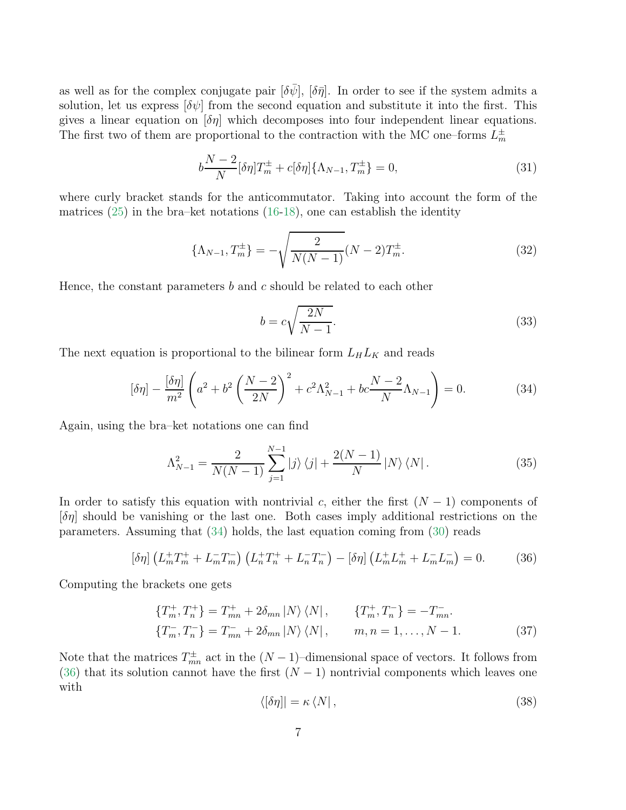as well as for the complex conjugate pair  $[\delta \bar{\psi}]$ ,  $[\delta \bar{\eta}]$ . In order to see if the system admits a solution, let us express  $[\delta \psi]$  from the second equation and substitute it into the first. This gives a linear equation on  $\delta \eta$  which decomposes into four independent linear equations. The first two of them are proportional to the contraction with the MC one–forms  $L_m^{\pm}$ 

$$
b\frac{N-2}{N}[\delta\eta]T_m^{\pm} + c[\delta\eta]\{\Lambda_{N-1}, T_m^{\pm}\} = 0,
$$
\n(31)

where curly bracket stands for the anticommutator. Taking into account the form of the matrices  $(25)$  in the bra–ket notations  $(16-18)$  $(16-18)$ , one can establish the identity

$$
\{\Lambda_{N-1}, T_m^{\pm}\} = -\sqrt{\frac{2}{N(N-1)}}(N-2)T_m^{\pm}.
$$
\n(32)

Hence, the constant parameters  $b$  and  $c$  should be related to each other

<span id="page-7-2"></span><span id="page-7-0"></span>
$$
b = c\sqrt{\frac{2N}{N-1}}.\tag{33}
$$

The next equation is proportional to the bilinear form  $L_H L_K$  and reads

$$
[\delta \eta] - \frac{[\delta \eta]}{m^2} \left( a^2 + b^2 \left( \frac{N-2}{2N} \right)^2 + c^2 \Lambda_{N-1}^2 + bc \frac{N-2}{N} \Lambda_{N-1} \right) = 0. \tag{34}
$$

Again, using the bra–ket notations one can find

$$
\Lambda_{N-1}^2 = \frac{2}{N(N-1)} \sum_{j=1}^{N-1} |j\rangle \langle j| + \frac{2(N-1)}{N} |N\rangle \langle N|.
$$
 (35)

In order to satisfy this equation with nontrivial c, either the first  $(N-1)$  components of  $[\delta \eta]$  should be vanishing or the last one. Both cases imply additional restrictions on the parameters. Assuming that [\(34\)](#page-7-0) holds, the last equation coming from [\(30\)](#page-6-1) reads

<span id="page-7-1"></span>
$$
\left[\delta\eta\right]\left(L_m^+T_m^+ + L_m^-T_m^-\right)\left(L_n^+T_n^+ + L_n^-T_n^-\right) - \left[\delta\eta\right]\left(L_m^+L_m^+ + L_m^-L_m^-\right) = 0. \tag{36}
$$

Computing the brackets one gets

<span id="page-7-3"></span>
$$
\{T_m^+, T_n^+\} = T_{mn}^+ + 2\delta_{mn} |N\rangle \langle N| \,, \qquad \{T_m^+, T_n^-\} = -T_{mn}^-.
$$
  

$$
\{T_m^-, T_n^-\} = T_{mn}^- + 2\delta_{mn} |N\rangle \langle N| \,, \qquad m, n = 1, \dots, N - 1.
$$
 (37)

Note that the matrices  $T_{mn}^{\pm}$  act in the  $(N-1)$ –dimensional space of vectors. It follows from [\(36\)](#page-7-1) that its solution cannot have the first  $(N-1)$  nontrivial components which leaves one with

$$
\langle \left[ \delta \eta \right] \right] = \kappa \langle N \vert \,, \tag{38}
$$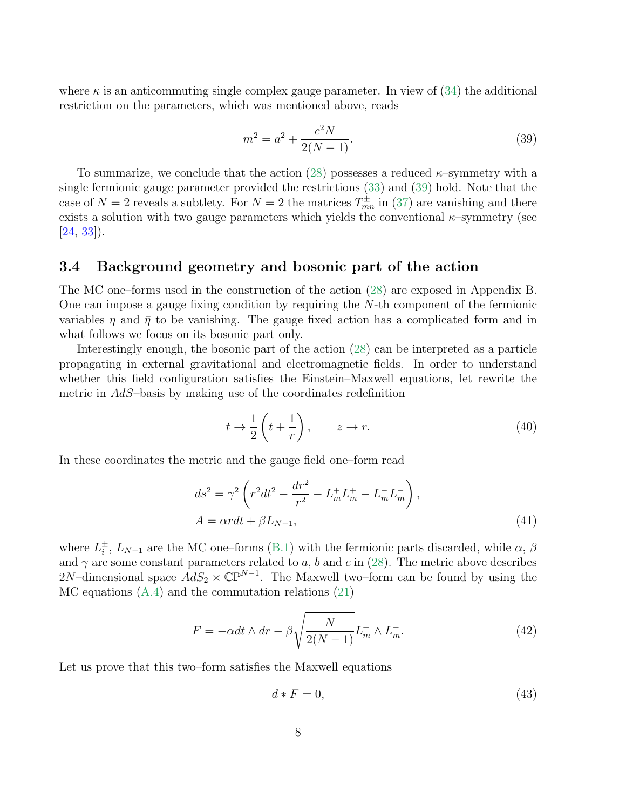where  $\kappa$  is an anticommuting single complex gauge parameter. In view of [\(34\)](#page-7-0) the additional restriction on the parameters, which was mentioned above, reads

<span id="page-8-0"></span>
$$
m^2 = a^2 + \frac{c^2 N}{2(N-1)}.
$$
\n(39)

To summarize, we conclude that the action [\(28\)](#page-6-0) possesses a reduced  $\kappa$ -symmetry with a single fermionic gauge parameter provided the restrictions [\(33\)](#page-7-2) and [\(39\)](#page-8-0) hold. Note that the case of  $N=2$  reveals a subtlety. For  $N=2$  the matrices  $T_{mn}^{\pm}$  in [\(37\)](#page-7-3) are vanishing and there exists a solution with two gauge parameters which yields the conventional  $\kappa$ –symmetry (see  $[24, 33]$  $[24, 33]$  $[24, 33]$ .

#### 3.4 Background geometry and bosonic part of the action

The MC one–forms used in the construction of the action [\(28\)](#page-6-0) are exposed in Appendix B. One can impose a gauge fixing condition by requiring the N-th component of the fermionic variables  $\eta$  and  $\bar{\eta}$  to be vanishing. The gauge fixed action has a complicated form and in what follows we focus on its bosonic part only.

Interestingly enough, the bosonic part of the action [\(28\)](#page-6-0) can be interpreted as a particle propagating in external gravitational and electromagnetic fields. In order to understand whether this field configuration satisfies the Einstein–Maxwell equations, let rewrite the metric in AdS–basis by making use of the coordinates redefinition

$$
t \to \frac{1}{2} \left( t + \frac{1}{r} \right), \qquad z \to r. \tag{40}
$$

In these coordinates the metric and the gauge field one–form read

<span id="page-8-2"></span>
$$
ds^{2} = \gamma^{2} \left( r^{2} dt^{2} - \frac{dr^{2}}{r^{2}} - L_{m}^{+} L_{m}^{+} - L_{m}^{-} L_{m}^{-} \right),
$$
  
\n
$$
A = \alpha r dt + \beta L_{N-1},
$$
\n(41)

where  $L_i^{\pm}$ ,  $L_{N-1}$  are the MC one–forms [\(B.1\)](#page-12-1) with the fermionic parts discarded, while  $\alpha$ ,  $\beta$ and  $\gamma$  are some constant parameters related to a, b and c in [\(28\)](#page-6-0). The metric above describes 2N–dimensional space  $AdS_2 \times \mathbb{CP}^{N-1}$ . The Maxwell two–form can be found by using the MC equations [\(A.4\)](#page-11-2) and the commutation relations [\(21\)](#page-5-0)

$$
F = -\alpha dt \wedge dr - \beta \sqrt{\frac{N}{2(N-1)}} L_m^+ \wedge L_m^-.
$$
 (42)

Let us prove that this two–form satisfies the Maxwell equations

<span id="page-8-1"></span>
$$
d * F = 0,\t\t(43)
$$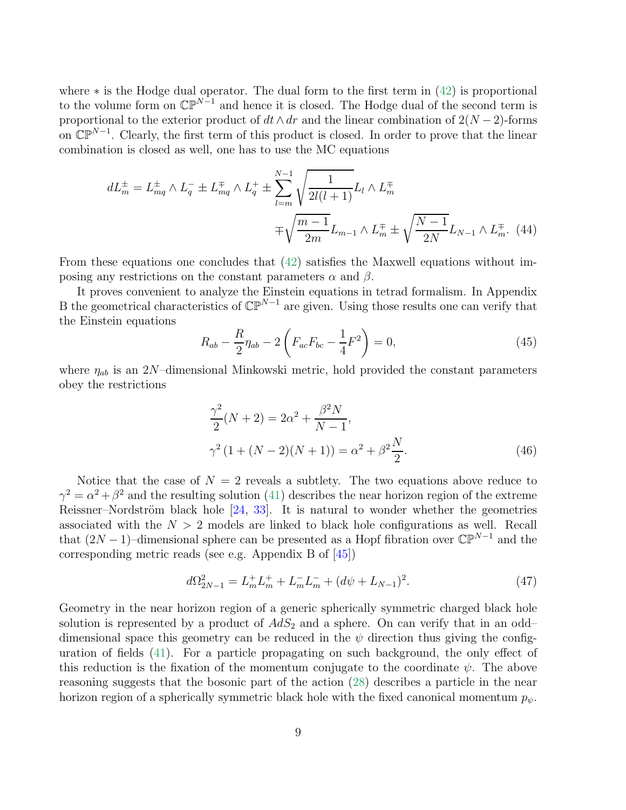where  $*$  is the Hodge dual operator. The dual form to the first term in  $(42)$  is proportional to the volume form on  $\mathbb{CP}^{N-1}$  and hence it is closed. The Hodge dual of the second term is proportional to the exterior product of  $dt \wedge dr$  and the linear combination of  $2(N-2)$ -forms on  $\mathbb{CP}^{N-1}$ . Clearly, the first term of this product is closed. In order to prove that the linear combination is closed as well, one has to use the MC equations

$$
dL_m^{\pm} = L_{mq}^{\pm} \wedge L_q^{-} \pm L_{mq}^{\mp} \wedge L_q^{+} \pm \sum_{l=m}^{N-1} \sqrt{\frac{1}{2l(l+1)}} L_l \wedge L_m^{\mp}
$$
  

$$
\mp \sqrt{\frac{m-1}{2m}} L_{m-1} \wedge L_m^{\mp} \pm \sqrt{\frac{N-1}{2N}} L_{N-1} \wedge L_m^{\mp}.
$$
 (44)

From these equations one concludes that [\(42\)](#page-8-1) satisfies the Maxwell equations without imposing any restrictions on the constant parameters  $\alpha$  and  $\beta$ .

It proves convenient to analyze the Einstein equations in tetrad formalism. In Appendix B the geometrical characteristics of  $\mathbb{CP}^{N-1}$  are given. Using those results one can verify that the Einstein equations

$$
R_{ab} - \frac{R}{2} \eta_{ab} - 2 \left( F_{ac} F_{bc} - \frac{1}{4} F^2 \right) = 0, \tag{45}
$$

where  $\eta_{ab}$  is an 2N–dimensional Minkowski metric, hold provided the constant parameters obey the restrictions

$$
\frac{\gamma^2}{2}(N+2) = 2\alpha^2 + \frac{\beta^2 N}{N-1},
$$
  

$$
\gamma^2 (1 + (N-2)(N+1)) = \alpha^2 + \beta^2 \frac{N}{2}.
$$
 (46)

Notice that the case of  $N = 2$  reveals a subtlety. The two equations above reduce to  $\gamma^2 = \alpha^2 + \beta^2$  and the resulting solution [\(41\)](#page-8-2) describes the near horizon region of the extreme Reissner–Nordström black hole  $[24, 33]$  $[24, 33]$ . It is natural to wonder whether the geometries associated with the  $N > 2$  models are linked to black hole configurations as well. Recall that  $(2N-1)$ –dimensional sphere can be presented as a Hopf fibration over  $\mathbb{CP}^{N-1}$  and the corresponding metric reads (see e.g. Appendix B of [\[45\]](#page-16-12))

$$
d\Omega_{2N-1}^2 = L_m^+ L_m^+ + L_m^- L_m^- + (d\psi + L_{N-1})^2. \tag{47}
$$

Geometry in the near horizon region of a generic spherically symmetric charged black hole solution is represented by a product of  $AdS_2$  and a sphere. On can verify that in an odd– dimensional space this geometry can be reduced in the  $\psi$  direction thus giving the configuration of fields [\(41\)](#page-8-2). For a particle propagating on such background, the only effect of this reduction is the fixation of the momentum conjugate to the coordinate  $\psi$ . The above reasoning suggests that the bosonic part of the action [\(28\)](#page-6-0) describes a particle in the near horizon region of a spherically symmetric black hole with the fixed canonical momentum  $p_{\psi}$ .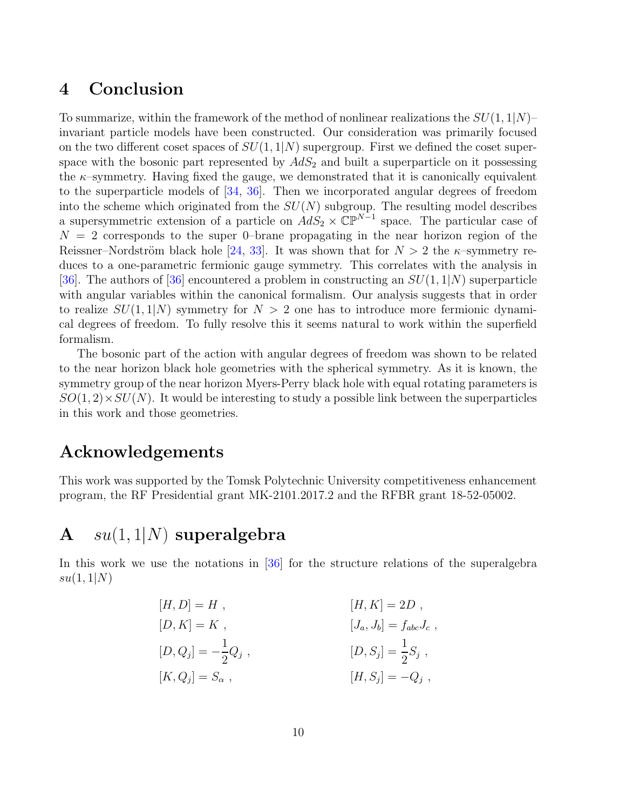# 4 Conclusion

To summarize, within the framework of the method of nonlinear realizations the  $SU(1, 1|N)$ – invariant particle models have been constructed. Our consideration was primarily focused on the two different coset spaces of  $SU(1, 1|N)$  supergroup. First we defined the coset superspace with the bosonic part represented by  $AdS_2$  and built a superparticle on it possessing the  $\kappa$ -symmetry. Having fixed the gauge, we demonstrated that it is canonically equivalent to the superparticle models of [\[34,](#page-16-1) [36\]](#page-16-2). Then we incorporated angular degrees of freedom into the scheme which originated from the  $SU(N)$  subgroup. The resulting model describes a supersymmetric extension of a particle on  $AdS_2 \times \mathbb{CP}^{N-1}$  space. The particular case of  $N = 2$  corresponds to the super 0–brane propagating in the near horizon region of the Reissner–Nordström black hole [\[24,](#page-15-1) [33\]](#page-16-0). It was shown that for  $N > 2$  the  $\kappa$ –symmetry reduces to a one-parametric fermionic gauge symmetry. This correlates with the analysis in [\[36\]](#page-16-2). The authors of [\[36\]](#page-16-2) encountered a problem in constructing an  $SU(1, 1/N)$  superparticle with angular variables within the canonical formalism. Our analysis suggests that in order to realize  $SU(1, 1|N)$  symmetry for  $N > 2$  one has to introduce more fermionic dynamical degrees of freedom. To fully resolve this it seems natural to work within the superfield formalism.

The bosonic part of the action with angular degrees of freedom was shown to be related to the near horizon black hole geometries with the spherical symmetry. As it is known, the symmetry group of the near horizon Myers-Perry black hole with equal rotating parameters is  $SO(1, 2) \times SU(N)$ . It would be interesting to study a possible link between the superparticles in this work and those geometries.

# Acknowledgements

This work was supported by the Tomsk Polytechnic University competitiveness enhancement program, the RF Presidential grant MK-2101.2017.2 and the RFBR grant 18-52-05002.

# A  $su(1,1|N)$  superalgebra

In this work we use the notations in [\[36\]](#page-16-2) for the structure relations of the superalgebra  $su(1,1|N)$ 

$$
[H, D] = H,
$$
  
\n
$$
[D, K] = K,
$$
  
\n
$$
[D, Q_j] = -\frac{1}{2}Q_j,
$$
  
\n
$$
[H, K] = 2D,
$$
  
\n
$$
[J_a, J_b] = f_{abc}J_c,
$$
  
\n
$$
[D, S_j] = \frac{1}{2}S_j,
$$
  
\n
$$
[K, Q_j] = S_\alpha,
$$
  
\n
$$
[H, S_j] = -Q_j,
$$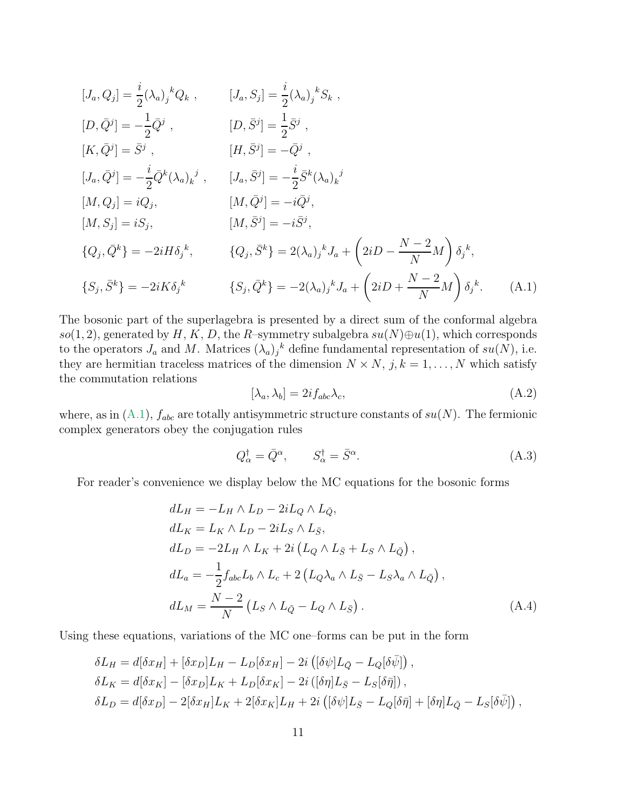$$
[J_a, Q_j] = \frac{i}{2} (\lambda_a)_j^k Q_k , \qquad [J_a, S_j] = \frac{i}{2} (\lambda_a)_j^k S_k ,
$$
  
\n
$$
[D, \bar{Q}^j] = -\frac{1}{2} \bar{Q}^j , \qquad [D, \bar{S}^j] = \frac{1}{2} \bar{S}^j ,
$$
  
\n
$$
[K, \bar{Q}^j] = \bar{S}^j , \qquad [H, \bar{S}^j] = -\bar{Q}^j ,
$$
  
\n
$$
[J_a, \bar{Q}^j] = -\frac{i}{2} \bar{Q}^k (\lambda_a)_k^j , \qquad [J_a, \bar{S}^j] = -\frac{i}{2} \bar{S}^k (\lambda_a)_k^j
$$
  
\n
$$
[M, Q_j] = iQ_j , \qquad [M, \bar{Q}^j] = -i\bar{Q}^j ,
$$
  
\n
$$
[M, S_j] = iS_j , \qquad [M, \bar{S}^j] = -i\bar{S}^j ,
$$
  
\n
$$
\{Q_j, \bar{Q}^k\} = -2iH\delta_j^k , \qquad \{Q_j, \bar{S}^k\} = 2(\lambda_a)_j^k J_a + (2iD - \frac{N-2}{N}M) \delta_j^k ,
$$
  
\n
$$
\{S_j, \bar{S}^k\} = -2iK\delta_j^k , \qquad \{S_j, \bar{Q}^k\} = -2(\lambda_a)_j^k J_a + (2iD + \frac{N-2}{N}M) \delta_j^k .
$$
  
\n(A.1)

The bosonic part of the superlagebra is presented by a direct sum of the conformal algebra so(1, 2), generated by H, K, D, the R–symmetry subalgebra  $su(N)\oplus u(1)$ , which corresponds to the operators  $J_a$  and M. Matrices  $(\lambda_a)_j^k$  define fundamental representation of  $su(N)$ , i.e. they are hermitian traceless matrices of the dimension  $N \times N$ ,  $j, k = 1, ..., N$  which satisfy the commutation relations

<span id="page-11-1"></span><span id="page-11-0"></span>
$$
[\lambda_a, \lambda_b] = 2if_{abc}\lambda_c,\tag{A.2}
$$

where, as in  $(A.1)$ ,  $f_{abc}$  are totally antisymmetric structure constants of  $su(N)$ . The fermionic complex generators obey the conjugation rules

$$
Q_{\alpha}^{\dagger} = \bar{Q}^{\alpha}, \qquad S_{\alpha}^{\dagger} = \bar{S}^{\alpha}.
$$
\n(A.3)

For reader's convenience we display below the MC equations for the bosonic forms

<span id="page-11-2"></span>
$$
dL_H = -L_H \wedge L_D - 2iL_Q \wedge L_{\bar{Q}},
$$
  
\n
$$
dL_K = L_K \wedge L_D - 2iL_S \wedge L_{\bar{S}},
$$
  
\n
$$
dL_D = -2L_H \wedge L_K + 2i(L_Q \wedge L_{\bar{S}} + L_S \wedge L_{\bar{Q}}),
$$
  
\n
$$
dL_a = -\frac{1}{2} f_{abc} L_b \wedge L_c + 2(L_Q \lambda_a \wedge L_{\bar{S}} - L_S \lambda_a \wedge L_{\bar{Q}}),
$$
  
\n
$$
dL_M = \frac{N-2}{N} (L_S \wedge L_{\bar{Q}} - L_Q \wedge L_{\bar{S}}).
$$
\n(A.4)

Using these equations, variations of the MC one–forms can be put in the form

$$
\delta L_H = d[\delta x_H] + [\delta x_D]L_H - L_D[\delta x_H] - 2i([\delta \psi]L_{\bar{Q}} - L_Q[\delta \bar{\psi}]),
$$
  
\n
$$
\delta L_K = d[\delta x_K] - [\delta x_D]L_K + L_D[\delta x_K] - 2i([\delta \eta]L_{\bar{S}} - L_S[\delta \bar{\eta}]),
$$
  
\n
$$
\delta L_D = d[\delta x_D] - 2[\delta x_H]L_K + 2[\delta x_K]L_H + 2i([\delta \psi]L_{\bar{S}} - L_Q[\delta \bar{\eta}] + [\delta \eta]L_{\bar{Q}} - L_S[\delta \bar{\psi}]),
$$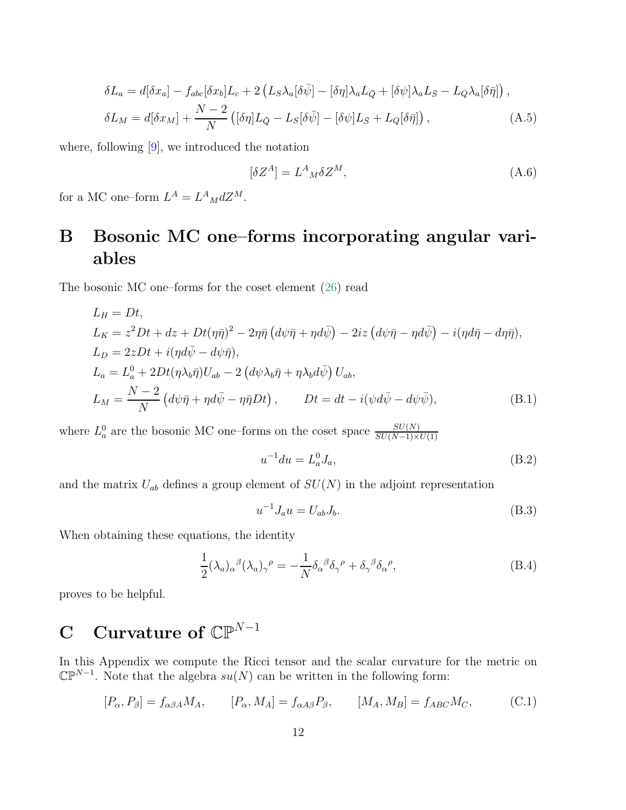<span id="page-12-0"></span>
$$
\delta L_a = d[\delta x_a] - f_{abc}[\delta x_b]L_c + 2(L_S\lambda_a[\delta \bar{\psi}] - [\delta \eta] \lambda_a L_{\bar{Q}} + [\delta \psi] \lambda_a L_{\bar{S}} - L_Q \lambda_a[\delta \bar{\eta}]),
$$
  

$$
\delta L_M = d[\delta x_M] + \frac{N-2}{N} ([\delta \eta] L_{\bar{Q}} - L_S[\delta \bar{\psi}] - [\delta \psi] L_{\bar{S}} + L_Q[\delta \bar{\eta}]), \tag{A.5}
$$

where, following [\[9\]](#page-14-5), we introduced the notation

$$
[\delta Z^A] = L^A{}_M \delta Z^M,\tag{A.6}
$$

for a MC one-form  $L^A = L^A{}_M dZ^M$ .

# B Bosonic MC one–forms incorporating angular variables

The bosonic MC one–forms for the coset element [\(26\)](#page-6-2) read

<span id="page-12-1"></span>
$$
L_H = Dt,
$$
  
\n
$$
L_K = z^2 Dt + dz + Dt(\eta \bar{\eta})^2 - 2\eta \bar{\eta} (d\psi \bar{\eta} + \eta d\bar{\psi}) - 2iz (d\psi \bar{\eta} - \eta d\bar{\psi}) - i(\eta d\bar{\eta} - d\eta \bar{\eta}),
$$
  
\n
$$
L_D = 2zDt + i(\eta d\bar{\psi} - d\psi \bar{\eta}),
$$
  
\n
$$
L_a = L_a^0 + 2Dt(\eta \lambda_b \bar{\eta})U_{ab} - 2 (d\psi \lambda_b \bar{\eta} + \eta \lambda_b d\bar{\psi}) U_{ab},
$$
  
\n
$$
L_M = \frac{N-2}{N} (d\psi \bar{\eta} + \eta d\bar{\psi} - \eta \bar{\eta} Dt), \qquad Dt = dt - i(\psi d\bar{\psi} - d\psi \bar{\psi}),
$$
\n(B.1)

where  $L_a^0$  are the bosonic MC one–forms on the coset space  $\frac{SU(N)}{SU(N-1)\times U(1)}$ 

$$
u^{-1}du = L_a^0 J_a,
$$
 (B.2)

and the matrix  $U_{ab}$  defines a group element of  $SU(N)$  in the adjoint representation

$$
u^{-1}J_a u = U_{ab}J_b.
$$
 (B.3)

When obtaining these equations, the identity

$$
\frac{1}{2}(\lambda_a)_\alpha{}^\beta(\lambda_a)_\gamma{}^\rho = -\frac{1}{N}\delta_\alpha{}^\beta\delta_\gamma{}^\rho + \delta_\gamma{}^\beta\delta_\alpha{}^\rho,\tag{B.4}
$$

proves to be helpful.

# C Curvature of  $\mathbb{CP}^{N-1}$

In this Appendix we compute the Ricci tensor and the scalar curvature for the metric on  $\mathbb{CP}^{N-1}$ . Note that the algebra  $su(N)$  can be written in the following form:

$$
[P_{\alpha}, P_{\beta}] = f_{\alpha\beta A} M_A, \qquad [P_{\alpha}, M_A] = f_{\alpha A\beta} P_{\beta}, \qquad [M_A, M_B] = f_{ABC} M_C, \tag{C.1}
$$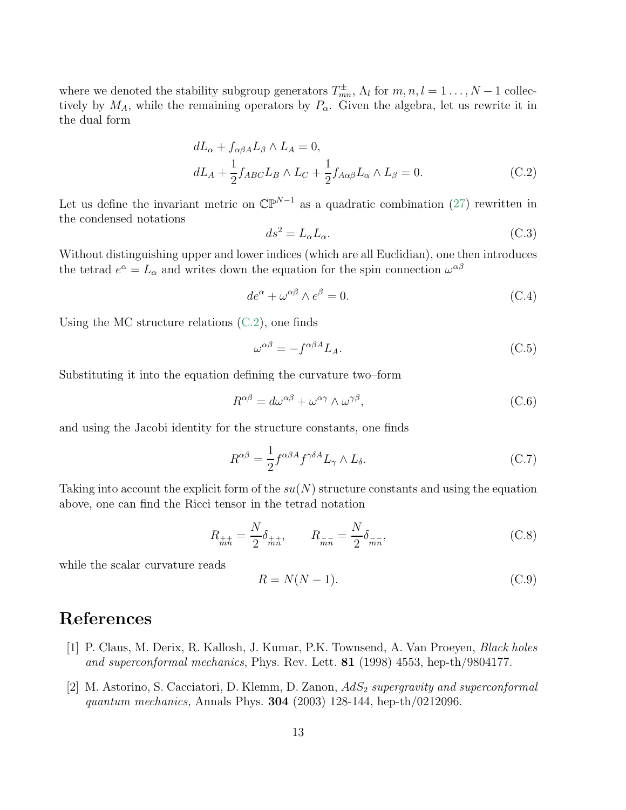where we denoted the stability subgroup generators  $T_{mn}^{\pm}$ ,  $\Lambda_l$  for  $m, n, l = 1, ..., N-1$  collectively by  $M_A$ , while the remaining operators by  $P_\alpha$ . Given the algebra, let us rewrite it in the dual form

<span id="page-13-1"></span>
$$
dL_{\alpha} + f_{\alpha\beta A}L_{\beta} \wedge L_{A} = 0,
$$
  

$$
dL_{A} + \frac{1}{2}f_{ABC}L_{B} \wedge L_{C} + \frac{1}{2}f_{A\alpha\beta}L_{\alpha} \wedge L_{\beta} = 0.
$$
 (C.2)

Let us define the invariant metric on  $\mathbb{CP}^{N-1}$  as a quadratic combination [\(27\)](#page-6-3) rewritten in the condensed notations

$$
ds^2 = L_{\alpha} L_{\alpha}.\tag{C.3}
$$

Without distinguishing upper and lower indices (which are all Euclidian), one then introduces the tetrad  $e^{\alpha} = L_{\alpha}$  and writes down the equation for the spin connection  $\omega^{\alpha\beta}$ 

$$
de^{\alpha} + \omega^{\alpha\beta} \wedge e^{\beta} = 0. \tag{C.4}
$$

Using the MC structure relations  $(C.2)$ , one finds

$$
\omega^{\alpha\beta} = -f^{\alpha\beta A} L_A. \tag{C.5}
$$

Substituting it into the equation defining the curvature two–form

$$
R^{\alpha\beta} = d\omega^{\alpha\beta} + \omega^{\alpha\gamma} \wedge \omega^{\gamma\beta},\tag{C.6}
$$

and using the Jacobi identity for the structure constants, one finds

$$
R^{\alpha\beta} = \frac{1}{2} f^{\alpha\beta A} f^{\gamma\delta A} L_{\gamma} \wedge L_{\delta}.
$$
 (C.7)

Taking into account the explicit form of the  $su(N)$  structure constants and using the equation above, one can find the Ricci tensor in the tetrad notation

$$
R_{\pm\pm} = \frac{N}{2} \delta_{\pm\pm}, \qquad R_{\bar{m}\bar{n}} = \frac{N}{2} \delta_{\bar{m}\bar{n}}, \tag{C.8}
$$

while the scalar curvature reads

$$
R = N(N-1). \tag{C.9}
$$

### <span id="page-13-0"></span>References

- [1] P. Claus, M. Derix, R. Kallosh, J. Kumar, P.K. Townsend, A. Van Proeyen, *Black holes and superconformal mechanics*, Phys. Rev. Lett. 81 (1998) 4553, hep-th/9804177.
- [2] M. Astorino, S. Cacciatori, D. Klemm, D. Zanon, AdS<sup>2</sup> *supergravity and superconformal quantum mechanics,* Annals Phys. 304 (2003) 128-144, hep-th/0212096.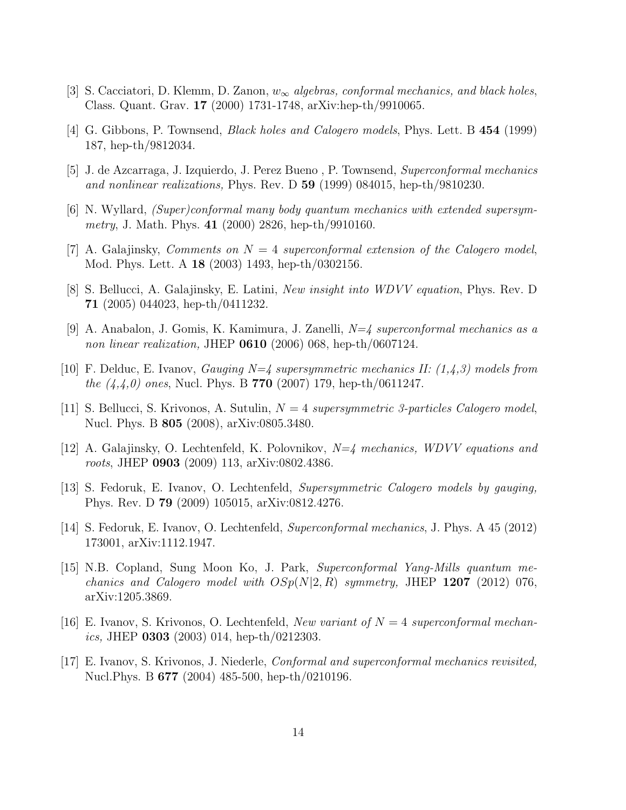- <span id="page-14-0"></span>[3] S. Cacciatori, D. Klemm, D. Zanon, w<sup>∞</sup> *algebras, conformal mechanics, and black holes*, Class. Quant. Grav. 17 (2000) 1731-1748, arXiv:hep-th/9910065.
- <span id="page-14-1"></span>[4] G. Gibbons, P. Townsend, *Black holes and Calogero models*, Phys. Lett. B 454 (1999) 187, hep-th/9812034.
- [5] J. de Azcarraga, J. Izquierdo, J. Perez Bueno , P. Townsend, *Superconformal mechanics and nonlinear realizations,* Phys. Rev. D 59 (1999) 084015, hep-th/9810230.
- [6] N. Wyllard, *(Super)conformal many body quantum mechanics with extended supersymmetry*, J. Math. Phys. 41 (2000) 2826, hep-th/9910160.
- [7] A. Galajinsky, *Comments on* N = 4 *superconformal extension of the Calogero model*, Mod. Phys. Lett. A 18 (2003) 1493, hep-th/0302156.
- [8] S. Bellucci, A. Galajinsky, E. Latini, *New insight into WDVV equation*, Phys. Rev. D 71 (2005) 044023, hep-th/0411232.
- <span id="page-14-5"></span>[9] A. Anabalon, J. Gomis, K. Kamimura, J. Zanelli, *N=4 superconformal mechanics as a non linear realization,* JHEP 0610 (2006) 068, hep-th/0607124.
- <span id="page-14-2"></span>[10] F. Delduc, E. Ivanov, *Gauging N=4 supersymmetric mechanics II: (1,4,3) models from the (4,4,0) ones*, Nucl. Phys. B 770 (2007) 179, hep-th/0611247.
- [11] S. Bellucci, S. Krivonos, A. Sutulin, N = 4 *supersymmetric 3-particles Calogero model*, Nucl. Phys. B 805 (2008), arXiv:0805.3480.
- [12] A. Galajinsky, O. Lechtenfeld, K. Polovnikov, *N=4 mechanics, WDVV equations and roots*, JHEP 0903 (2009) 113, arXiv:0802.4386.
- [13] S. Fedoruk, E. Ivanov, O. Lechtenfeld, *Supersymmetric Calogero models by gauging,* Phys. Rev. D 79 (2009) 105015, arXiv:0812.4276.
- <span id="page-14-3"></span>[14] S. Fedoruk, E. Ivanov, O. Lechtenfeld, *Superconformal mechanics*, J. Phys. A 45 (2012) 173001, arXiv:1112.1947.
- [15] N.B. Copland, Sung Moon Ko, J. Park, *Superconformal Yang-Mills quantum mechanics and Calogero model with*  $OSp(N|2, R)$  *symmetry,* JHEP 1207 (2012) 076, arXiv:1205.3869.
- <span id="page-14-4"></span>[16] E. Ivanov, S. Krivonos, O. Lechtenfeld, *New variant of* N = 4 *superconformal mechanics,* JHEP 0303 (2003) 014, hep-th/0212303.
- [17] E. Ivanov, S. Krivonos, J. Niederle, *Conformal and superconformal mechanics revisited,* Nucl.Phys. B 677 (2004) 485-500, hep-th/0210196.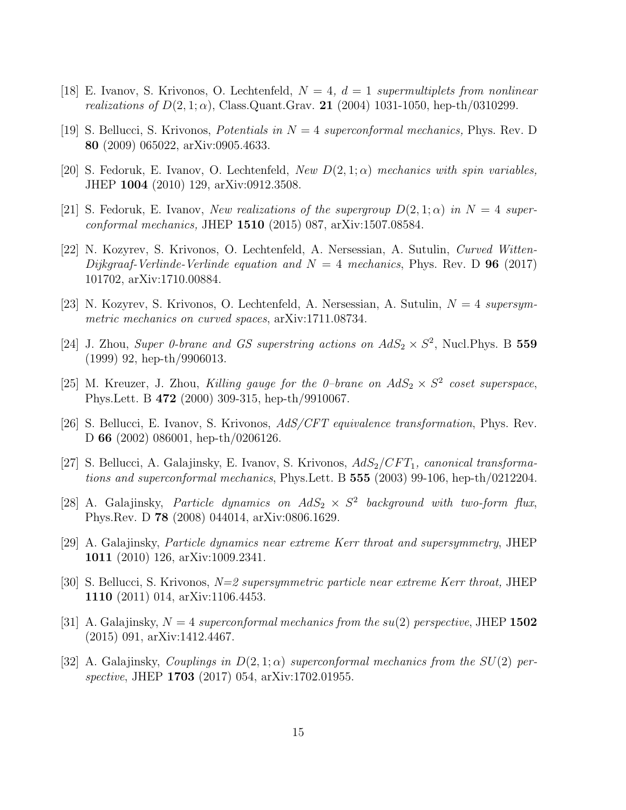- [18] E. Ivanov, S. Krivonos, O. Lechtenfeld, N = 4*,* d = 1 *supermultiplets from nonlinear realizations of*  $D(2, 1; \alpha)$ , Class.Quant.Grav. **21** (2004) 1031-1050, hep-th/0310299.
- [19] S. Bellucci, S. Krivonos, *Potentials in* N = 4 *superconformal mechanics,* Phys. Rev. D 80 (2009) 065022, arXiv:0905.4633.
- <span id="page-15-2"></span>[20] S. Fedoruk, E. Ivanov, O. Lechtenfeld, *New* D(2, 1; α) *mechanics with spin variables,* JHEP 1004 (2010) 129, arXiv:0912.3508.
- [21] S. Fedoruk, E. Ivanov, *New realizations of the supergroup*  $D(2,1;\alpha)$  *in*  $N=4$  *superconformal mechanics,* JHEP 1510 (2015) 087, arXiv:1507.08584.
- [22] N. Kozyrev, S. Krivonos, O. Lechtenfeld, A. Nersessian, A. Sutulin, *Curved Witten-Dijkgraaf-Verlinde-Verlinde equation and*  $N = 4$  *mechanics*, Phys. Rev. D 96 (2017) 101702, arXiv:1710.00884.
- <span id="page-15-1"></span><span id="page-15-0"></span>[23] N. Kozyrev, S. Krivonos, O. Lechtenfeld, A. Nersessian, A. Sutulin, N = 4 *supersymmetric mechanics on curved spaces*, arXiv:1711.08734.
- [24] J. Zhou, *Super 0-brane and GS superstring actions on*  $AdS_2 \times S^2$ , Nucl. Phys. B 559 (1999) 92, hep-th/9906013.
- [25] M. Kreuzer, J. Zhou, *Killing gauge for the 0–brane on*  $AdS_2 \times S^2$  coset superspace, Phys.Lett. B 472 (2000) 309-315, hep-th/9910067.
- [26] S. Bellucci, E. Ivanov, S. Krivonos, *AdS/CFT equivalence transformation*, Phys. Rev. D 66 (2002) 086001, hep-th/0206126.
- [27] S. Bellucci, A. Galajinsky, E. Ivanov, S. Krivonos,  $AdS_2/CFT_1$ , *canonical transformations and superconformal mechanics*, Phys.Lett. B 555 (2003) 99-106, hep-th/0212204.
- <span id="page-15-3"></span>[28] A. Galajinsky, *Particle dynamics on*  $AdS_2 \times S^2$  background with two-form flux, Phys.Rev. D 78 (2008) 044014, arXiv:0806.1629.
- [29] A. Galajinsky, *Particle dynamics near extreme Kerr throat and supersymmetry*, JHEP 1011 (2010) 126, arXiv:1009.2341.
- [30] S. Bellucci, S. Krivonos, *N=2 supersymmetric particle near extreme Kerr throat,* JHEP 1110 (2011) 014, arXiv:1106.4453.
- [31] A. Galajinsky,  $N = 4$  *superconformal mechanics from the*  $su(2)$  *perspective*, JHEP 1502 (2015) 091, arXiv:1412.4467.
- [32] A. Galajinsky, *Couplings in*  $D(2,1;\alpha)$  *superconformal mechanics from the*  $SU(2)$  *perspective*, JHEP 1703 (2017) 054, arXiv:1702.01955.